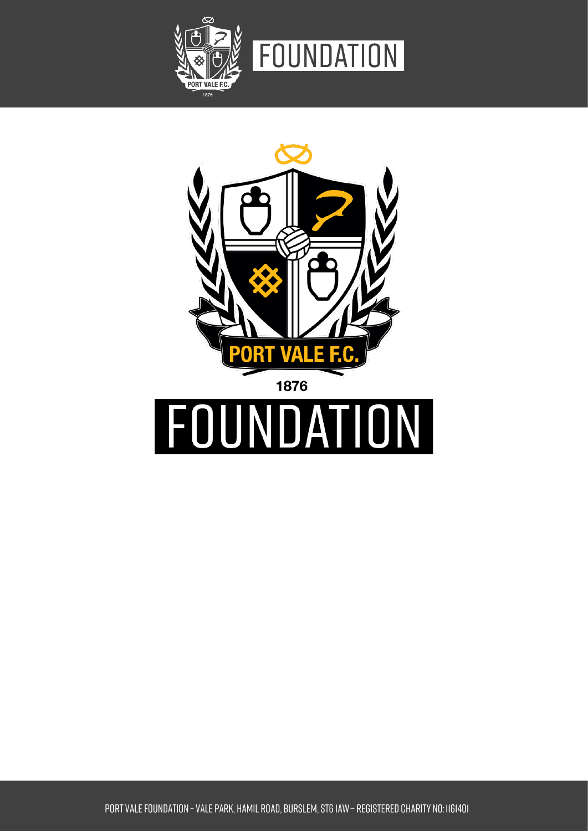

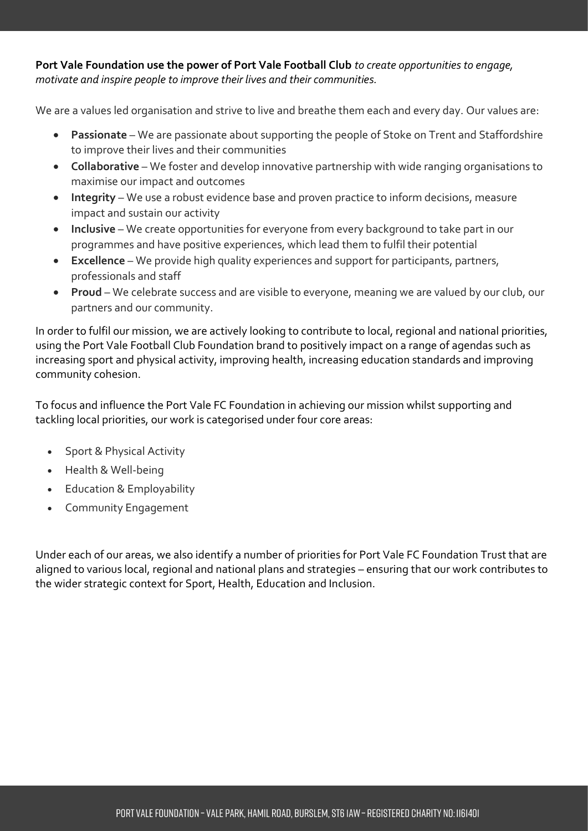**Port Vale Foundation use the power of Port Vale Football Club** *to create opportunities to engage, motivate and inspire people to improve their lives and their communities.* 

We are a values led organisation and strive to live and breathe them each and every day. Our values are:

- **Passionate** We are passionate about supporting the people of Stoke on Trent and Staffordshire to improve their lives and their communities
- **Collaborative** We foster and develop innovative partnership with wide ranging organisations to maximise our impact and outcomes
- **Integrity**  We use a robust evidence base and proven practice to inform decisions, measure impact and sustain our activity
- **Inclusive** We create opportunities for everyone from every background to take part in our programmes and have positive experiences, which lead them to fulfil their potential
- **Excellence** We provide high quality experiences and support for participants, partners, professionals and staff
- **Proud** We celebrate success and are visible to everyone, meaning we are valued by our club, our partners and our community.

In order to fulfil our mission, we are actively looking to contribute to local, regional and national priorities, using the Port Vale Football Club Foundation brand to positively impact on a range of agendas such as increasing sport and physical activity, improving health, increasing education standards and improving community cohesion.

To focus and influence the Port Vale FC Foundation in achieving our mission whilst supporting and tackling local priorities, our work is categorised under four core areas:

- Sport & Physical Activity
- Health & Well-being
- Education & Employability
- Community Engagement

Under each of our areas, we also identify a number of priorities for Port Vale FC Foundation Trust that are aligned to various local, regional and national plans and strategies – ensuring that our work contributes to the wider strategic context for Sport, Health, Education and Inclusion.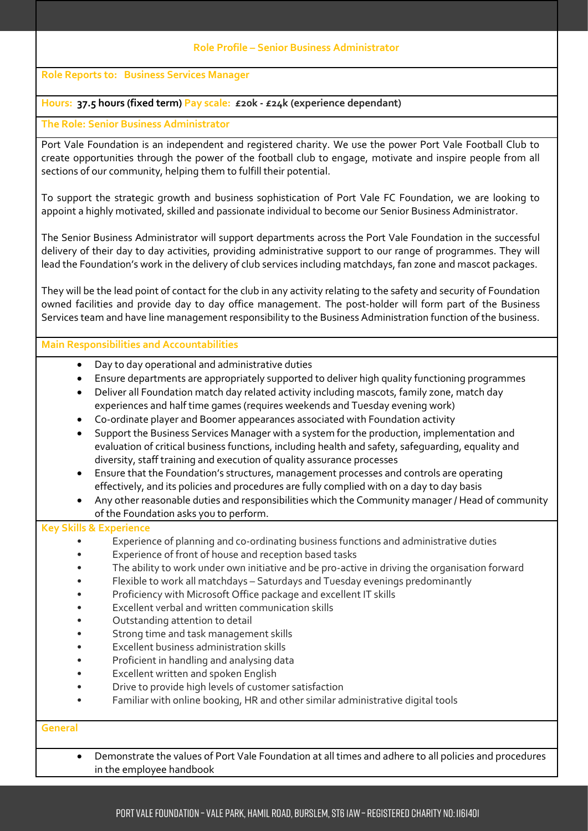#### **Role Profile – Senior Business Administrator**

**Role Reports to: Business Services Manager**

## **Hours: 37.5 hours (fixed term) Pay scale: £20k - £24k (experience dependant)**

#### **The Role: Senior Business Administrator**

Port Vale Foundation is an independent and registered charity. We use the power Port Vale Football Club to create opportunities through the power of the football club to engage, motivate and inspire people from all sections of our community, helping them to fulfill their potential.

To support the strategic growth and business sophistication of Port Vale FC Foundation, we are looking to appoint a highly motivated, skilled and passionate individual to become our Senior Business Administrator.

The Senior Business Administrator will support departments across the Port Vale Foundation in the successful delivery of their day to day activities, providing administrative support to our range of programmes. They will lead the Foundation's work in the delivery of club services including matchdays, fan zone and mascot packages.

They will be the lead point of contact for the club in any activity relating to the safety and security of Foundation owned facilities and provide day to day office management. The post-holder will form part of the Business Services team and have line management responsibility to the Business Administration function of the business.

### **Main Responsibilities and Accountabilities**

- Day to day operational and administrative duties
- Ensure departments are appropriately supported to deliver high quality functioning programmes
- Deliver all Foundation match day related activity including mascots, family zone, match day experiences and half time games (requires weekends and Tuesday evening work)
- Co-ordinate player and Boomer appearances associated with Foundation activity
- Support the Business Services Manager with a system for the production, implementation and evaluation of critical business functions, including health and safety, safeguarding, equality and diversity, staff training and execution of quality assurance processes
- Ensure that the Foundation's structures, management processes and controls are operating effectively, and its policies and procedures are fully complied with on a day to day basis
- Any other reasonable duties and responsibilities which the Community manager / Head of community of the Foundation asks you to perform.

## **Key Skills & Experience**

- Experience of planning and co-ordinating business functions and administrative duties
- Experience of front of house and reception based tasks
- The ability to work under own initiative and be pro-active in driving the organisation forward
- Flexible to work all matchdays Saturdays and Tuesday evenings predominantly
- Proficiency with Microsoft Office package and excellent IT skills
- Excellent verbal and written communication skills
- Outstanding attention to detail
- Strong time and task management skills
- Excellent business administration skills
- Proficient in handling and analysing data
- Excellent written and spoken English
- Drive to provide high levels of customer satisfaction
- Familiar with online booking, HR and other similar administrative digital tools

#### **General**

• Demonstrate the values of Port Vale Foundation at all times and adhere to all policies and procedures in the employee handbook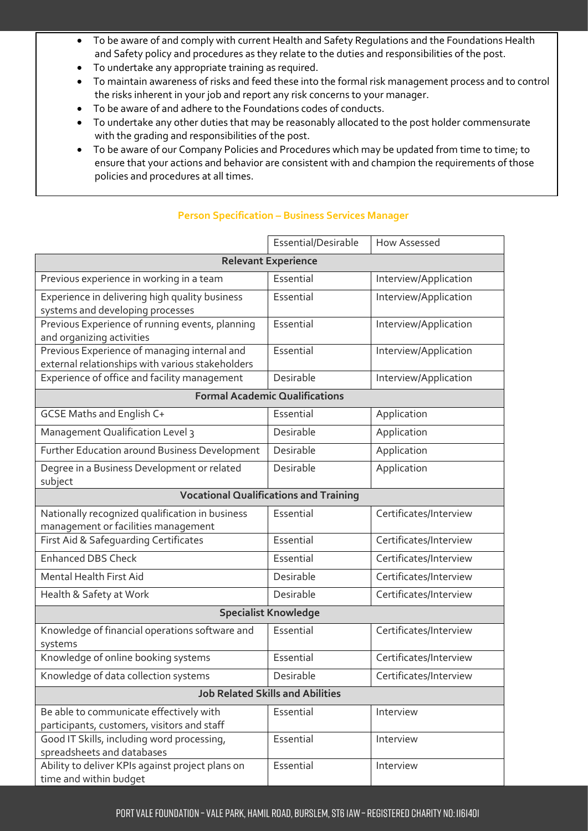- To be aware of and comply with current Health and Safety Regulations and the Foundations Health and Safety policy and procedures as they relate to the duties and responsibilities of the post.
- To undertake any appropriate training as required.
- To maintain awareness of risks and feed these into the formal risk management process and to control the risks inherent in your job and report any risk concerns to your manager.
- To be aware of and adhere to the Foundations codes of conducts.
- To undertake any other duties that may be reasonably allocated to the post holder commensurate with the grading and responsibilities of the post.
- To be aware of our Company Policies and Procedures which may be updated from time to time; to ensure that your actions and behavior are consistent with and champion the requirements of those policies and procedures at all times.

|                                                                                                  | Essential/Desirable | How Assessed           |  |
|--------------------------------------------------------------------------------------------------|---------------------|------------------------|--|
| <b>Relevant Experience</b>                                                                       |                     |                        |  |
| Previous experience in working in a team                                                         | Essential           | Interview/Application  |  |
| Experience in delivering high quality business<br>systems and developing processes               | Essential           | Interview/Application  |  |
| Previous Experience of running events, planning<br>and organizing activities                     | Essential           | Interview/Application  |  |
| Previous Experience of managing internal and<br>external relationships with various stakeholders | Essential           | Interview/Application  |  |
| Experience of office and facility management                                                     | Desirable           | Interview/Application  |  |
| <b>Formal Academic Qualifications</b>                                                            |                     |                        |  |
| GCSE Maths and English C+                                                                        | Essential           | Application            |  |
| Management Qualification Level 3                                                                 | Desirable           | Application            |  |
| Further Education around Business Development                                                    | Desirable           | Application            |  |
| Degree in a Business Development or related<br>subject                                           | Desirable           | Application            |  |
| <b>Vocational Qualifications and Training</b>                                                    |                     |                        |  |
| Nationally recognized qualification in business<br>management or facilities management           | Essential           | Certificates/Interview |  |
| First Aid & Safeguarding Certificates                                                            | Essential           | Certificates/Interview |  |
| <b>Enhanced DBS Check</b>                                                                        | Essential           | Certificates/Interview |  |
| <b>Mental Health First Aid</b>                                                                   | Desirable           | Certificates/Interview |  |
| Health & Safety at Work                                                                          | Desirable           | Certificates/Interview |  |
| <b>Specialist Knowledge</b>                                                                      |                     |                        |  |
| Knowledge of financial operations software and<br>systems                                        | Essential           | Certificates/Interview |  |
| Knowledge of online booking systems                                                              | Essential           | Certificates/Interview |  |
| Knowledge of data collection systems                                                             | Desirable           | Certificates/Interview |  |
| <b>Job Related Skills and Abilities</b>                                                          |                     |                        |  |
| Be able to communicate effectively with<br>participants, customers, visitors and staff           | Essential           | Interview              |  |
| Good IT Skills, including word processing,<br>spreadsheets and databases                         | Essential           | Interview              |  |
| Ability to deliver KPIs against project plans on<br>time and within budget                       | Essential           | Interview              |  |

# **Person Specification – Business Services Manager**